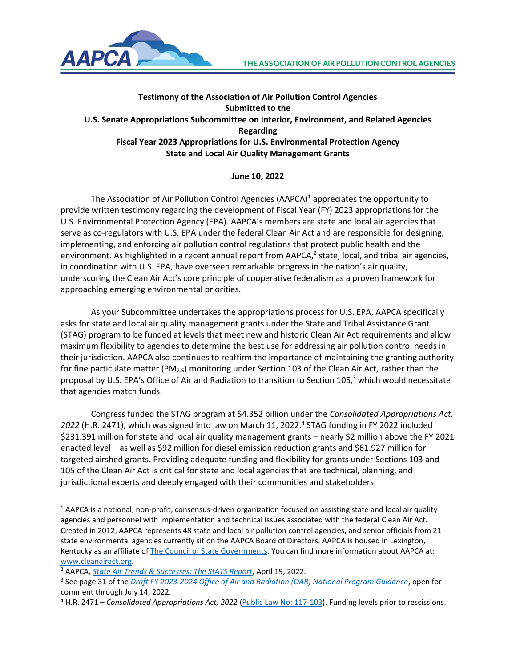

## **Testimony of the Association of Air Pollution Control Agencies Submitted to the U.S. Senate Appropriations Subcommittee on Interior, Environment, and Related Agencies Regarding Fiscal Year 2023 Appropriations for U.S. Environmental Protection Agency State and Local Air Quality Management Grants**

## **June 10, 2022**

The Association of Air Pollution Control Agencies (AAPCA)<sup>1</sup> appreciates the opportunity to provide written testimony regarding the development of Fiscal Year (FY) 2023 appropriations for the U.S. Environmental Protection Agency (EPA). AAPCA's members are state and local air agencies that serve as co-regulators with U.S. EPA under the federal Clean Air Act and are responsible for designing, implementing, and enforcing air pollution control regulations that protect public health and the environment. As highlighted in a recent annual report from AAPCA, $^2$  state, local, and tribal air agencies, in coordination with U.S. EPA, have overseen remarkable progress in the nation's air quality, underscoring the Clean Air Act's core principle of cooperative federalism as a proven framework for approaching emerging environmental priorities.

As your Subcommittee undertakes the appropriations process for U.S. EPA, AAPCA specifically asks for state and local air quality management grants under the State and Tribal Assistance Grant (STAG) program to be funded at levels that meet new and historic Clean Air Act requirements and allow maximum flexibility to agencies to determine the best use for addressing air pollution control needs in their jurisdiction. AAPCA also continues to reaffirm the importance of maintaining the granting authority for fine particulate matter (PM<sub>2.5</sub>) monitoring under Section 103 of the Clean Air Act, rather than the proposal by U.S. EPA's Office of Air and Radiation to transition to Section 105,<sup>3</sup> which would necessitate that agencies match funds.

Congress funded the STAG program at \$4.352 billion under the *Consolidated Appropriations Act, 2022* (H.R. 2471), which was signed into law on March 11, 2022. 4 STAG funding in FY 2022 included \$231.391 million for state and local air quality management grants – nearly \$2 million above the FY 2021 enacted level – as well as \$92 million for diesel emission reduction grants and \$61.927 million for targeted airshed grants. Providing adequate funding and flexibility for grants under Sections 103 and 105 of the Clean Air Act is critical for state and local agencies that are technical, planning, and jurisdictional experts and deeply engaged with their communities and stakeholders.

 $1$  AAPCA is a national, non-profit, consensus-driven organization focused on assisting state and local air quality agencies and personnel with implementation and technical issues associated with the federal Clean Air Act. Created in 2012, AAPCA represents 48 state and local air pollution control agencies, and senior officials from 21 state environmental agencies currently sit on the AAPCA Board of Directors. AAPCA is housed in Lexington, Kentucky as an affiliate o[f The Council of State Governments.](https://www.csg.org/) You can find more information about AAPCA at: [www.cleanairact.org.](http://www.cleanairact.org/)

<sup>2</sup> AAPCA, *[State Air Trends & Successes: The StATS Report](https://cleanairact.org/wp-content/uploads/2022/04/AAPCA-2022-StATS-Report.pdf)*, April 19, 2022.

<sup>3</sup> See page 31 of the *[Draft FY 2023-2024 Office of Air and Radiation \(OAR\) National Program Guidance](https://www.epa.gov/planandbudget/national-program-guidances-npgs)*, open for comment through July 14, 2022.

<sup>4</sup> H.R. 2471 – *Consolidated Appropriations Act, 2022* [\(Public Law No: 117-103\)](https://www.congress.gov/bill/117th-congress/house-bill/2471). Funding levels prior to rescissions.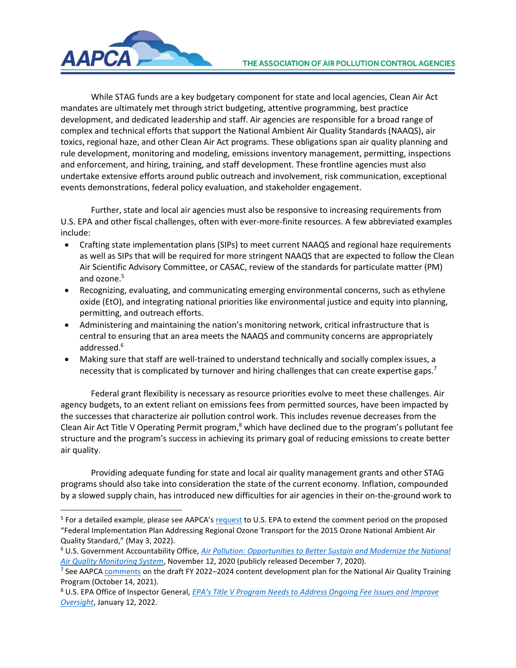

While STAG funds are a key budgetary component for state and local agencies, Clean Air Act mandates are ultimately met through strict budgeting, attentive programming, best practice development, and dedicated leadership and staff. Air agencies are responsible for a broad range of complex and technical efforts that support the National Ambient Air Quality Standards (NAAQS), air toxics, regional haze, and other Clean Air Act programs. These obligations span air quality planning and rule development, monitoring and modeling, emissions inventory management, permitting, inspections and enforcement, and hiring, training, and staff development. These frontline agencies must also undertake extensive efforts around public outreach and involvement, risk communication, exceptional events demonstrations, federal policy evaluation, and stakeholder engagement.

Further, state and local air agencies must also be responsive to increasing requirements from U.S. EPA and other fiscal challenges, often with ever-more-finite resources. A few abbreviated examples include:

- Crafting state implementation plans (SIPs) to meet current NAAQS and regional haze requirements as well as SIPs that will be required for more stringent NAAQS that are expected to follow the Clean Air Scientific Advisory Committee, or CASAC, review of the standards for particulate matter (PM) and ozone.<sup>5</sup>
- Recognizing, evaluating, and communicating emerging environmental concerns, such as ethylene oxide (EtO), and integrating national priorities like environmental justice and equity into planning, permitting, and outreach efforts.
- Administering and maintaining the nation's monitoring network, critical infrastructure that is central to ensuring that an area meets the NAAQS and community concerns are appropriately addressed.<sup>6</sup>
- Making sure that staff are well-trained to understand technically and socially complex issues, a necessity that is complicated by turnover and hiring challenges that can create expertise gaps.<sup>7</sup>

Federal grant flexibility is necessary as resource priorities evolve to meet these challenges. Air agency budgets, to an extent reliant on emissions fees from permitted sources, have been impacted by the successes that characterize air pollution control work. This includes revenue decreases from the Clean Air Act Title V Operating Permit program, $^8$  which have declined due to the program's pollutant fee structure and the program's success in achieving its primary goal of reducing emissions to create better air quality.

Providing adequate funding for state and local air quality management grants and other STAG programs should also take into consideration the state of the current economy. Inflation, compounded by a slowed supply chain, has introduced new difficulties for air agencies in their on-the-ground work to

<sup>&</sup>lt;sup>5</sup> For a detailed example, please see AAPCA's [request](https://cleanairact.org/wp-content/uploads/2022/05/AAPCA-Comment-Period-Extenion-Request-Interstate-Transport-FIP-Proposal-5-3-22.pdf) to U.S. EPA to extend the comment period on the proposed "Federal Implementation Plan Addressing Regional Ozone Transport for the 2015 Ozone National Ambient Air Quality Standard," (May 3, 2022).

<sup>6</sup> U.S. Government Accountability Office, *Air Pollution: [Opportunities to Better Sustain and Modernize the National](https://www.gao.gov/products/gao-21-38)  [Air Quality Monitoring System](https://www.gao.gov/products/gao-21-38)*, November 12, 2020 (publicly released December 7, 2020).

<sup>&</sup>lt;sup>7</sup> See AAPC[A comments](https://cleanairact.org/wp-content/uploads/2021/10/AAPCA-Comments-EPA-Draft-Training-Plan-FINAL-10-14-2021.pdf) on the draft FY 2022–2024 content development plan for the National Air Quality Training Program (October 14, 2021).

<sup>8</sup> U.S. EPA Office of Inspector General, *EPA's Title V Pr[ogram Needs to Address Ongoing Fee Issues and Improve](https://www.epa.gov/office-inspector-general/report-epas-title-v-program-needs-address-ongoing-fee-issues-and-improve)  [Oversight](https://www.epa.gov/office-inspector-general/report-epas-title-v-program-needs-address-ongoing-fee-issues-and-improve)*, January 12, 2022.